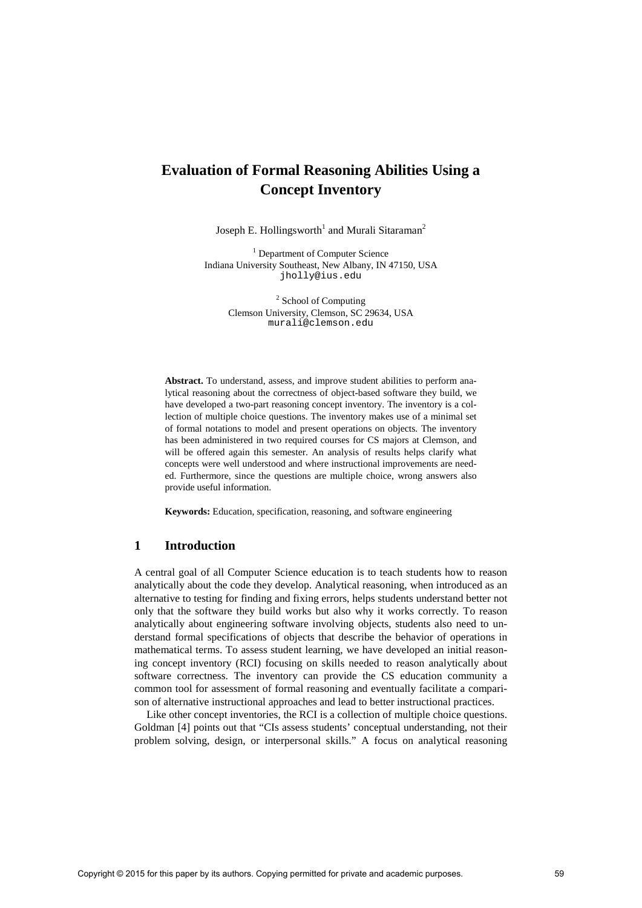# **Evaluation of Formal Reasoning Abilities Using a Concept Inventory**

Joseph E. Hollingsworth<sup>1</sup> and Murali Sitaraman<sup>2</sup>

<sup>1</sup> Department of Computer Science Indiana University Southeast, New Albany, IN 47150, USA [jholly@ius.edu](mailto:jholly@ius.edu)

> <sup>2</sup> School of Computing Clemson University, Clemson, SC 29634, USA murali@clemson.edu

**Abstract.** To understand, assess, and improve student abilities to perform analytical reasoning about the correctness of object-based software they build, we have developed a two-part reasoning concept inventory. The inventory is a collection of multiple choice questions. The inventory makes use of a minimal set of formal notations to model and present operations on objects. The inventory has been administered in two required courses for CS majors at Clemson, and will be offered again this semester. An analysis of results helps clarify what concepts were well understood and where instructional improvements are needed. Furthermore, since the questions are multiple choice, wrong answers also provide useful information.

**Keywords:** Education, specification, reasoning, and software engineering

#### **1 Introduction**

A central goal of all Computer Science education is to teach students how to reason analytically about the code they develop. Analytical reasoning, when introduced as an alternative to testing for finding and fixing errors, helps students understand better not only that the software they build works but also why it works correctly. To reason analytically about engineering software involving objects, students also need to understand formal specifications of objects that describe the behavior of operations in mathematical terms. To assess student learning, we have developed an initial reasoning concept inventory (RCI) focusing on skills needed to reason analytically about software correctness. The inventory can provide the CS education community a common tool for assessment of formal reasoning and eventually facilitate a comparison of alternative instructional approaches and lead to better instructional practices.

Like other concept inventories, the RCI is a collection of multiple choice questions. Goldman [4] points out that "CIs assess students' conceptual understanding, not their problem solving, design, or interpersonal skills." A focus on analytical reasoning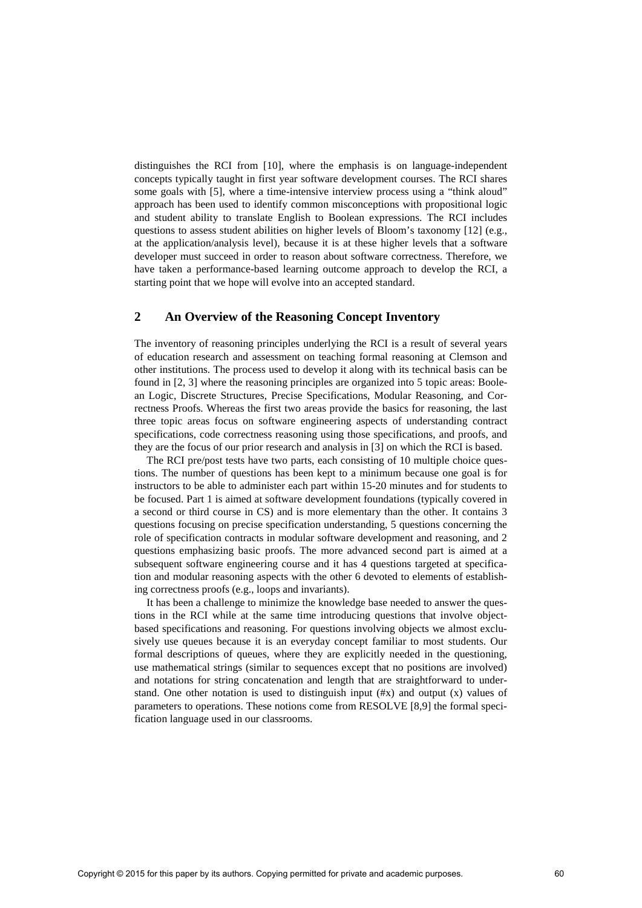distinguishes the RCI from [10], where the emphasis is on language-independent concepts typically taught in first year software development courses. The RCI shares some goals with [5], where a time-intensive interview process using a "think aloud" approach has been used to identify common misconceptions with propositional logic and student ability to translate English to Boolean expressions. The RCI includes questions to assess student abilities on higher levels of Bloom's taxonomy [12] (e.g., at the application/analysis level), because it is at these higher levels that a software developer must succeed in order to reason about software correctness. Therefore, we have taken a performance-based learning outcome approach to develop the RCI, a starting point that we hope will evolve into an accepted standard.

### **2 An Overview of the Reasoning Concept Inventory**

The inventory of reasoning principles underlying the RCI is a result of several years of education research and assessment on teaching formal reasoning at Clemson and other institutions. The process used to develop it along with its technical basis can be found in [2, 3] where the reasoning principles are organized into 5 topic areas: Boolean Logic, Discrete Structures, Precise Specifications, Modular Reasoning, and Correctness Proofs. Whereas the first two areas provide the basics for reasoning, the last three topic areas focus on software engineering aspects of understanding contract specifications, code correctness reasoning using those specifications, and proofs, and they are the focus of our prior research and analysis in [3] on which the RCI is based.

The RCI pre/post tests have two parts, each consisting of 10 multiple choice questions. The number of questions has been kept to a minimum because one goal is for instructors to be able to administer each part within 15-20 minutes and for students to be focused. Part 1 is aimed at software development foundations (typically covered in a second or third course in CS) and is more elementary than the other. It contains 3 questions focusing on precise specification understanding, 5 questions concerning the role of specification contracts in modular software development and reasoning, and 2 questions emphasizing basic proofs. The more advanced second part is aimed at a subsequent software engineering course and it has 4 questions targeted at specification and modular reasoning aspects with the other 6 devoted to elements of establishing correctness proofs (e.g., loops and invariants).

It has been a challenge to minimize the knowledge base needed to answer the questions in the RCI while at the same time introducing questions that involve objectbased specifications and reasoning. For questions involving objects we almost exclusively use queues because it is an everyday concept familiar to most students. Our formal descriptions of queues, where they are explicitly needed in the questioning, use mathematical strings (similar to sequences except that no positions are involved) and notations for string concatenation and length that are straightforward to understand. One other notation is used to distinguish input  $(\#x)$  and output  $(x)$  values of parameters to operations. These notions come from RESOLVE [8,9] the formal specification language used in our classrooms.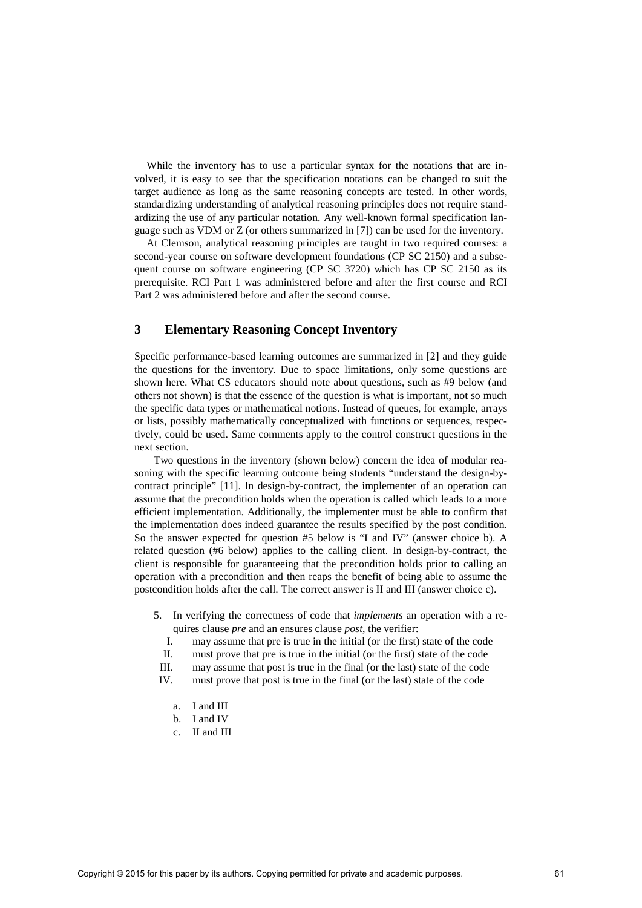While the inventory has to use a particular syntax for the notations that are involved, it is easy to see that the specification notations can be changed to suit the target audience as long as the same reasoning concepts are tested. In other words, standardizing understanding of analytical reasoning principles does not require standardizing the use of any particular notation. Any well-known formal specification language such as VDM or Z (or others summarized in [7]) can be used for the inventory.

At Clemson, analytical reasoning principles are taught in two required courses: a second-year course on software development foundations (CP SC 2150) and a subsequent course on software engineering (CP SC 3720) which has CP SC 2150 as its prerequisite. RCI Part 1 was administered before and after the first course and RCI Part 2 was administered before and after the second course.

## **3 Elementary Reasoning Concept Inventory**

Specific performance-based learning outcomes are summarized in [2] and they guide the questions for the inventory. Due to space limitations, only some questions are shown here. What CS educators should note about questions, such as #9 below (and others not shown) is that the essence of the question is what is important, not so much the specific data types or mathematical notions. Instead of queues, for example, arrays or lists, possibly mathematically conceptualized with functions or sequences, respectively, could be used. Same comments apply to the control construct questions in the next section.

Two questions in the inventory (shown below) concern the idea of modular reasoning with the specific learning outcome being students "understand the design-bycontract principle" [11]. In design-by-contract, the implementer of an operation can assume that the precondition holds when the operation is called which leads to a more efficient implementation. Additionally, the implementer must be able to confirm that the implementation does indeed guarantee the results specified by the post condition. So the answer expected for question #5 below is "I and IV" (answer choice b). A related question (#6 below) applies to the calling client. In design-by-contract, the client is responsible for guaranteeing that the precondition holds prior to calling an operation with a precondition and then reaps the benefit of being able to assume the postcondition holds after the call. The correct answer is II and III (answer choice c).

- 5. In verifying the correctness of code that *implements* an operation with a requires clause *pre* and an ensures clause *post*, the verifier:
	- I. may assume that pre is true in the initial (or the first) state of the code
	- II. must prove that pre is true in the initial (or the first) state of the code

III. may assume that post is true in the final (or the last) state of the code

- IV. must prove that post is true in the final (or the last) state of the code
	- a. I and III
	- b. I and IV
	- c. II and III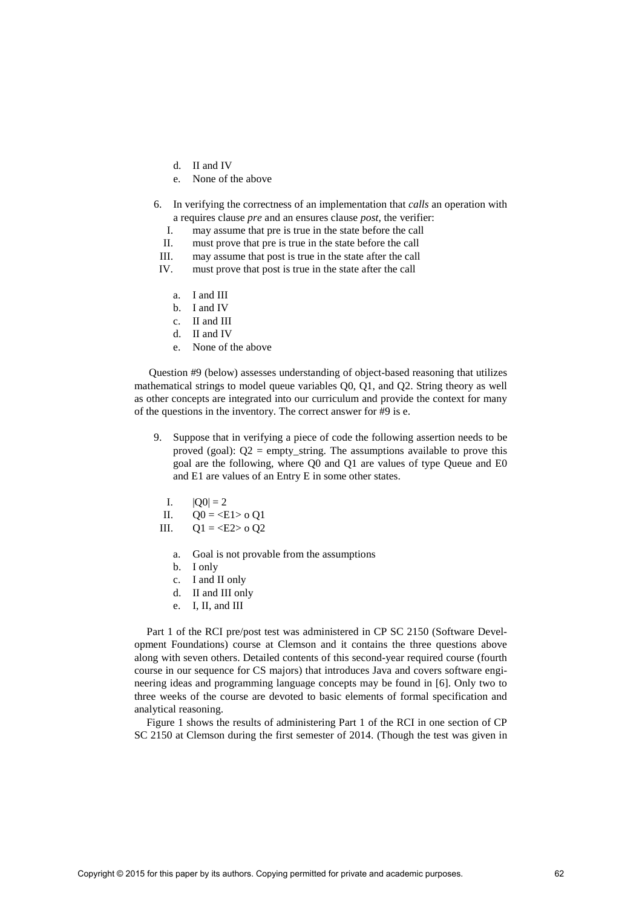- d. II and IV
- e. None of the above
- 6. In verifying the correctness of an implementation that *calls* an operation with a requires clause *pre* and an ensures clause *post*, the verifier:
	- I. may assume that pre is true in the state before the call
	- II. must prove that pre is true in the state before the call
- III. may assume that post is true in the state after the call
- IV. must prove that post is true in the state after the call
	- a. I and III
	- b. I and IV
	- c. II and III
	- d. II and IV
	- e. None of the above

Question #9 (below) assesses understanding of object-based reasoning that utilizes mathematical strings to model queue variables Q0, Q1, and Q2. String theory as well as other concepts are integrated into our curriculum and provide the context for many of the questions in the inventory. The correct answer for #9 is e.

- 9. Suppose that in verifying a piece of code the following assertion needs to be proved (goal):  $Q2 = \text{empty string}$ . The assumptions available to prove this goal are the following, where Q0 and Q1 are values of type Queue and E0 and E1 are values of an Entry E in some other states.
	- I.  $|Q0| = 2$

II. 
$$
Q0 = \langle E1 \rangle 0 Q1
$$

- III.  $Q1 = \langle E2 \rangle$  o Q2
	- a. Goal is not provable from the assumptions
	- b. I only
	- c. I and II only
	- d. II and III only
	- e. I, II, and III

Part 1 of the RCI pre/post test was administered in CP SC 2150 (Software Development Foundations) course at Clemson and it contains the three questions above along with seven others. Detailed contents of this second-year required course (fourth course in our sequence for CS majors) that introduces Java and covers software engineering ideas and programming language concepts may be found in [6]. Only two to three weeks of the course are devoted to basic elements of formal specification and analytical reasoning.

Figure 1 shows the results of administering Part 1 of the RCI in one section of CP SC 2150 at Clemson during the first semester of 2014. (Though the test was given in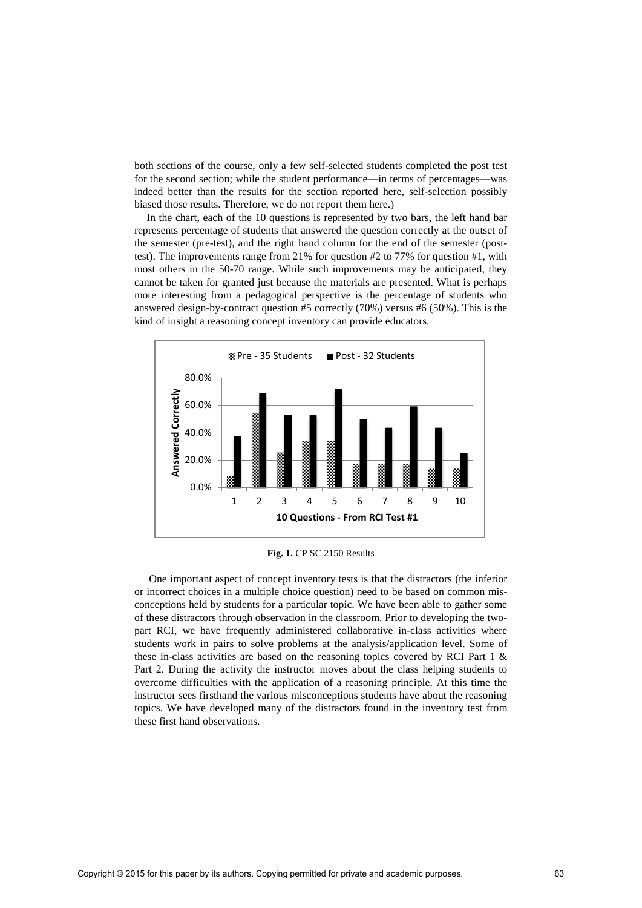both sections of the course, only a few self-selected students completed the post test for the second section; while the student performance—in terms of percentages—was indeed better than the results for the section reported here, self-selection possibly biased those results. Therefore, we do not report them here.)

In the chart, each of the 10 questions is represented by two bars, the left hand bar represents percentage of students that answered the question correctly at the outset of the semester (pre-test), and the right hand column for the end of the semester (posttest). The improvements range from 21% for question #2 to 77% for question #1, with most others in the 50-70 range. While such improvements may be anticipated, they cannot be taken for granted just because the materials are presented. What is perhaps more interesting from a pedagogical perspective is the percentage of students who answered design-by-contract question #5 correctly (70%) versus #6 (50%). This is the kind of insight a reasoning concept inventory can provide educators.



**Fig. 1.** CP SC 2150 Results

One important aspect of concept inventory tests is that the distractors (the inferior or incorrect choices in a multiple choice question) need to be based on common misconceptions held by students for a particular topic. We have been able to gather some of these distractors through observation in the classroom. Prior to developing the twopart RCI, we have frequently administered collaborative in-class activities where students work in pairs to solve problems at the analysis/application level. Some of these in-class activities are based on the reasoning topics covered by RCI Part 1 & Part 2. During the activity the instructor moves about the class helping students to overcome difficulties with the application of a reasoning principle. At this time the instructor sees firsthand the various misconceptions students have about the reasoning topics. We have developed many of the distractors found in the inventory test from these first hand observations.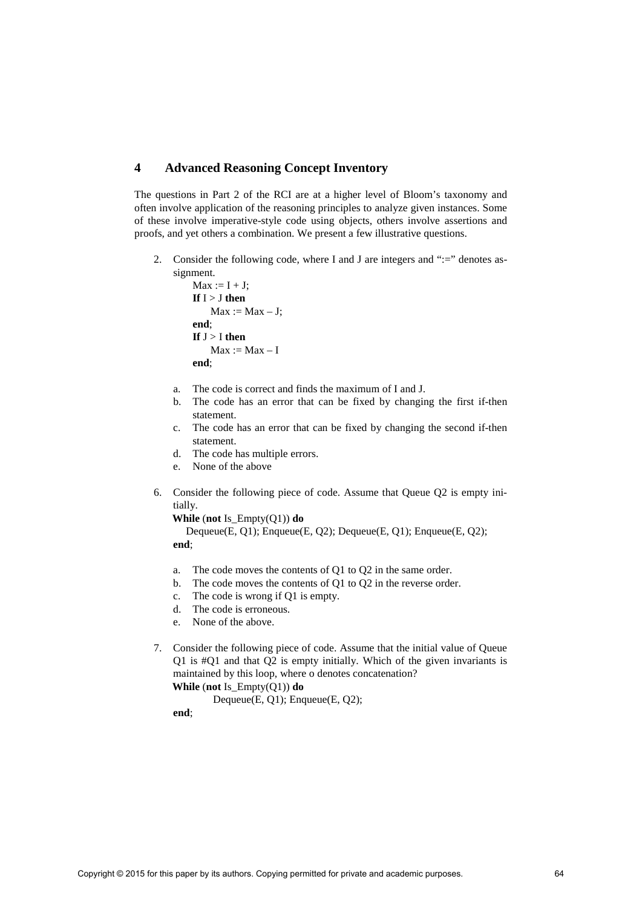#### **4 Advanced Reasoning Concept Inventory**

The questions in Part 2 of the RCI are at a higher level of Bloom's taxonomy and often involve application of the reasoning principles to analyze given instances. Some of these involve imperative-style code using objects, others involve assertions and proofs, and yet others a combination. We present a few illustrative questions.

2. Consider the following code, where I and J are integers and ":=" denotes assignment.

```
Max := I + J:
If I > J then
    Max := Max - J;end; 
If J > I then
    Max := Max - Iend;
```
- a. The code is correct and finds the maximum of I and J.
- b. The code has an error that can be fixed by changing the first if-then statement.
- c. The code has an error that can be fixed by changing the second if-then statement.
- d. The code has multiple errors.
- e. None of the above
- 6. Consider the following piece of code. Assume that Queue Q2 is empty initially.

**While** (**not** Is\_Empty(Q1)) **do**

 Dequeue(E, Q1); Enqueue(E, Q2); Dequeue(E, Q1); Enqueue(E, Q2); **end**;

- a. The code moves the contents of Q1 to Q2 in the same order.
- b. The code moves the contents of Q1 to Q2 in the reverse order.
- c. The code is wrong if Q1 is empty.
- d. The code is erroneous.
- e. None of the above.
- 7. Consider the following piece of code. Assume that the initial value of Queue Q1 is #Q1 and that Q2 is empty initially. Which of the given invariants is maintained by this loop, where o denotes concatenation? **While** (**not** Is\_Empty(Q1)) **do**
	- Dequeue(E, Q1); Enqueue(E, Q2);

**end**;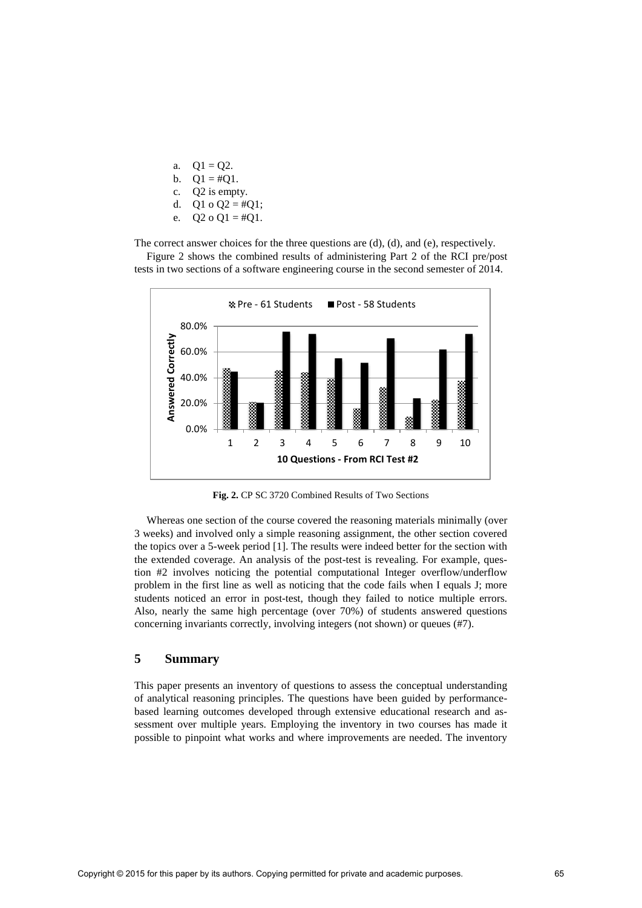a.  $Q1 = Q2$ . b.  $Q1 = #Q1$ . c. Q2 is empty. d. Q1 o Q2 = #Q1; e.  $Q2 o Q1 = #Q1$ .

The correct answer choices for the three questions are (d), (d), and (e), respectively. Figure 2 shows the combined results of administering Part 2 of the RCI pre/post tests in two sections of a software engineering course in the second semester of 2014.



**Fig. 2.** CP SC 3720 Combined Results of Two Sections

Whereas one section of the course covered the reasoning materials minimally (over 3 weeks) and involved only a simple reasoning assignment, the other section covered the topics over a 5-week period [1]. The results were indeed better for the section with the extended coverage. An analysis of the post-test is revealing. For example, question #2 involves noticing the potential computational Integer overflow/underflow problem in the first line as well as noticing that the code fails when I equals J; more students noticed an error in post-test, though they failed to notice multiple errors. Also, nearly the same high percentage (over 70%) of students answered questions concerning invariants correctly, involving integers (not shown) or queues (#7).

### **5 Summary**

This paper presents an inventory of questions to assess the conceptual understanding of analytical reasoning principles. The questions have been guided by performancebased learning outcomes developed through extensive educational research and assessment over multiple years. Employing the inventory in two courses has made it possible to pinpoint what works and where improvements are needed. The inventory